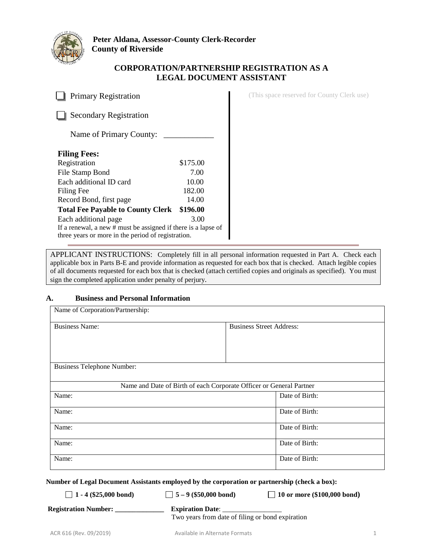

## **CORPORATION/PARTNERSHIP REGISTRATION AS A LEGAL DOCUMENT ASSISTANT**

**Primary Registration** (This space reserved for County Clerk use) Secondary Registration Name of Primary County: \_ **Filing Fees:** Registration \$175.00 File Stamp Bond 7.00 Each additional ID card 10.00 Filing Fee 182.00 Record Bond, first page 14.00 **Total Fee Payable to County Clerk \$196.00**  Each additional page 3.00 If a renewal, a new # must be assigned if there is a lapse of three years or more in the period of registration.

APPLICANT INSTRUCTIONS: Completely fill in all personal information requested in Part A. Check each applicable box in Parts B-E and provide information as requested for each box that is checked. Attach legible copies of all documents requested for each box that is checked (attach certified copies and originals as specified). You must sign the completed application under penalty of perjury.

## **A. Business and Personal Information**

| Name of Corporation/Partnership:  |                                                                     |
|-----------------------------------|---------------------------------------------------------------------|
| <b>Business Name:</b>             | <b>Business Street Address:</b>                                     |
|                                   |                                                                     |
| <b>Business Telephone Number:</b> |                                                                     |
|                                   |                                                                     |
|                                   | Name and Date of Birth of each Corporate Officer or General Partner |
| Name:                             | Date of Birth:                                                      |
| Name:                             | Date of Birth:                                                      |
| Name:                             | Date of Birth:                                                      |
| Name:                             | Date of Birth:                                                      |
| Name:                             | Date of Birth:                                                      |

**Number of Legal Document Assistants employed by the corporation or partnership (check a box):**

**1 - 4 (\$25,000 bond) 5 – 9 (\$50,000 bond) 10 or more (\$100,000 bond)** 

 **Registration Number: \_\_\_\_\_\_\_\_\_\_\_\_\_\_ Expiration Date**: \_\_\_\_\_\_\_\_\_\_\_\_\_\_\_\_\_

Two years from date of filing or bond expiration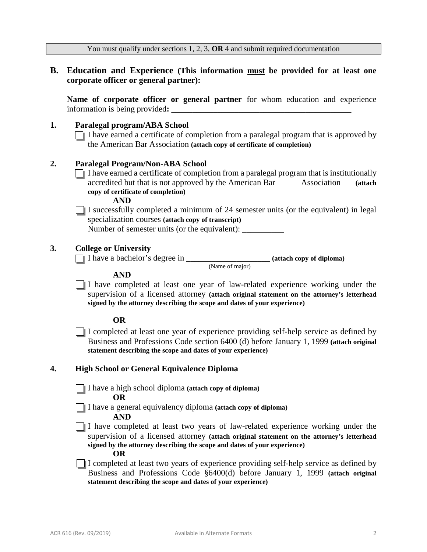|           | You must qualify under sections 1, 2, 3, $OR$ 4 and submit required documentation                                                                                                                                                                                                          |  |  |  |  |
|-----------|--------------------------------------------------------------------------------------------------------------------------------------------------------------------------------------------------------------------------------------------------------------------------------------------|--|--|--|--|
| <b>B.</b> | Education and Experience (This information must be provided for at least one<br>corporate officer or general partner):                                                                                                                                                                     |  |  |  |  |
|           | Name of corporate officer or general partner for whom education and experience                                                                                                                                                                                                             |  |  |  |  |
| 1.        | Paralegal program/ABA School<br>$\Box$ I have earned a certificate of completion from a paralegal program that is approved by<br>the American Bar Association (attach copy of certificate of completion)                                                                                   |  |  |  |  |
| 2.        | <b>Paralegal Program/Non-ABA School</b><br>I have earned a certificate of completion from a paralegal program that is institutionally<br>accredited but that is not approved by the American Bar<br>Association<br>(attach<br>copy of certificate of completion)<br><b>AND</b>             |  |  |  |  |
|           | I successfully completed a minimum of 24 semester units (or the equivalent) in legal<br>specialization courses (attach copy of transcript)<br>Number of semester units (or the equivalent): ___________________________________                                                            |  |  |  |  |
| 3.        | <b>College or University</b>                                                                                                                                                                                                                                                               |  |  |  |  |
|           | (Name of major)<br><b>AND</b><br>I have completed at least one year of law-related experience working under the<br>supervision of a licensed attorney (attach original statement on the attorney's letterhead<br>signed by the attorney describing the scope and dates of your experience) |  |  |  |  |
|           | <b>OR</b>                                                                                                                                                                                                                                                                                  |  |  |  |  |
|           | I completed at least one year of experience providing self-help service as defined by<br>Business and Professions Code section 6400 (d) before January 1, 1999 (attach original<br>statement describing the scope and dates of your experience)                                            |  |  |  |  |
| 4.        | <b>High School or General Equivalence Diploma</b>                                                                                                                                                                                                                                          |  |  |  |  |
|           | I have a high school diploma (attach copy of diploma)<br><b>OR</b>                                                                                                                                                                                                                         |  |  |  |  |
|           | I have a general equivalency diploma (attach copy of diploma)<br><b>AND</b>                                                                                                                                                                                                                |  |  |  |  |
|           | I have completed at least two years of law-related experience working under the<br>supervision of a licensed attorney (attach original statement on the attorney's letterhead<br>signed by the attorney describing the scope and dates of your experience)<br><b>OR</b>                    |  |  |  |  |
|           | I completed at least two years of experience providing self-help service as defined by<br>Business and Professions Code §6400(d) before January 1, 1999 (attach original<br>statement describing the scope and dates of your experience)                                                   |  |  |  |  |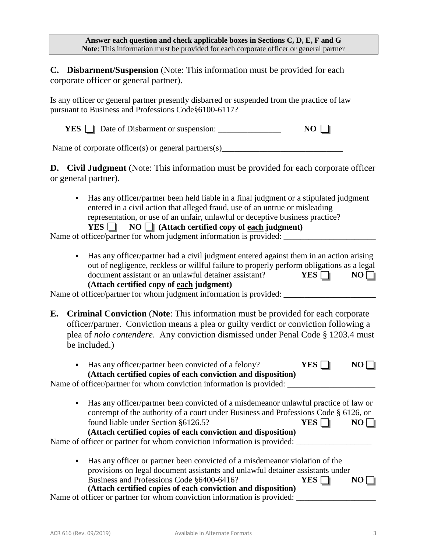**Answer each question and check applicable boxes in Sections C, D, E, F and G Note**: This information must be provided for each corporate officer or general partner

**C. Disbarment/Suspension** (Note: This information must be provided for each corporate officer or general partner).

Is any officer or general partner presently disbarred or suspended from the practice of law pursuant to Business and Professions Code§6100-6117?

**YES**  $\Box$  Date of Disbarment or suspension:  $\Box$  **NO**  $\Box$ 

Name of corporate officer(s) or general partners(s)

**D.** Civil Judgment (Note: This information must be provided for each corporate officer or general partner).

 Has any officer/partner been held liable in a final judgment or a stipulated judgment entered in a civil action that alleged fraud, use of an untrue or misleading representation, or use of an unfair, unlawful or deceptive business practice?  $YES \tN$  **NO (Attach certified copy of each judgment)** 

Name of officer/partner for whom judgment information is provided:

 Has any officer/partner had a civil judgment entered against them in an action arising out of negligence, reckless or willful failure to properly perform obligations as a legal document assistant or an unlawful detainer assistant? **YES**  $\Box$  **NO** $\Box$ **(Attach certified copy of each judgment)**

Name of officer/partner for whom judgment information is provided: \_\_\_\_\_\_\_\_\_\_\_\_\_\_\_\_\_\_\_\_\_\_

**E. Criminal Conviction** (**Note**: This information must be provided for each corporate officer/partner. Conviction means a plea or guilty verdict or conviction following a plea of *nolo contendere*. Any conviction dismissed under Penal Code § 1203.4 must be included.)

| Has any officer/partner been convicted of a felony?<br>$\blacksquare$<br>(Attach certified copies of each conviction and disposition)                                           |       |  |
|---------------------------------------------------------------------------------------------------------------------------------------------------------------------------------|-------|--|
| Name of officer/partner for whom conviction information is provided:                                                                                                            |       |  |
| Has any officer/partner been convicted of a misdemeanor unlawful practice of law or<br>٠<br>contempt of the authority of a court under Business and Professions Code § 6126, or |       |  |
| found liable under Section §6126.5?                                                                                                                                             | YES   |  |
| (Attach certified copies of each conviction and disposition)<br>Name of officer or partner for whom conviction information is provided:                                         |       |  |
| Has any officer or partner been convicted of a misdemean or violation of the<br>٠                                                                                               |       |  |
| provisions on legal document assistants and unlawful detainer assistants under                                                                                                  |       |  |
| Business and Professions Code §6400-6416?<br>(Attach certified copies of each conviction and disposition)                                                                       | YES . |  |
| Name of officer or partner for whom conviction information is provided:                                                                                                         |       |  |